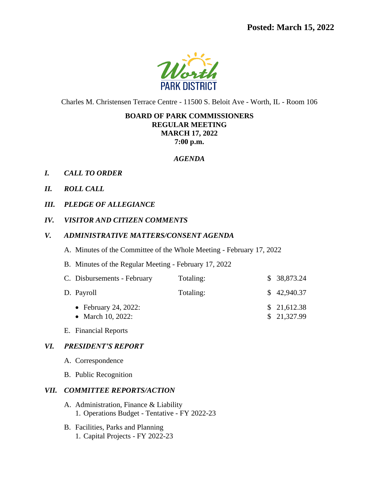

Charles M. Christensen Terrace Centre - 11500 S. Beloit Ave - Worth, IL - Room 106

# **BOARD OF PARK COMMISSIONERS REGULAR MEETING MARCH 17, 2022 7:00 p.m.**

#### *AGENDA*

- *I. CALL TO ORDER*
- *II. ROLL CALL*
- *III. PLEDGE OF ALLEGIANCE*
- *IV. VISITOR AND CITIZEN COMMENTS*

## *V. ADMINISTRATIVE MATTERS/CONSENT AGENDA*

- A. Minutes of the Committee of the Whole Meeting February 17, 2022
- B. Minutes of the Regular Meeting February 17, 2022

| C. Disbursements - February               | Totaling: | \$ 38,873.24               |
|-------------------------------------------|-----------|----------------------------|
| D. Payroll                                | Totaling: | \$42,940.37                |
| • February 24, 2022:<br>• March 10, 2022: |           | \$21,612.38<br>\$21,327.99 |

E. Financial Reports

## *VI. PRESIDENT'S REPORT*

- A. Correspondence
- B. Public Recognition

#### *VII. COMMITTEE REPORTS/ACTION*

- A. Administration, Finance & Liability 1. Operations Budget - Tentative - FY 2022-23
- B. Facilities, Parks and Planning 1. Capital Projects - FY 2022-23